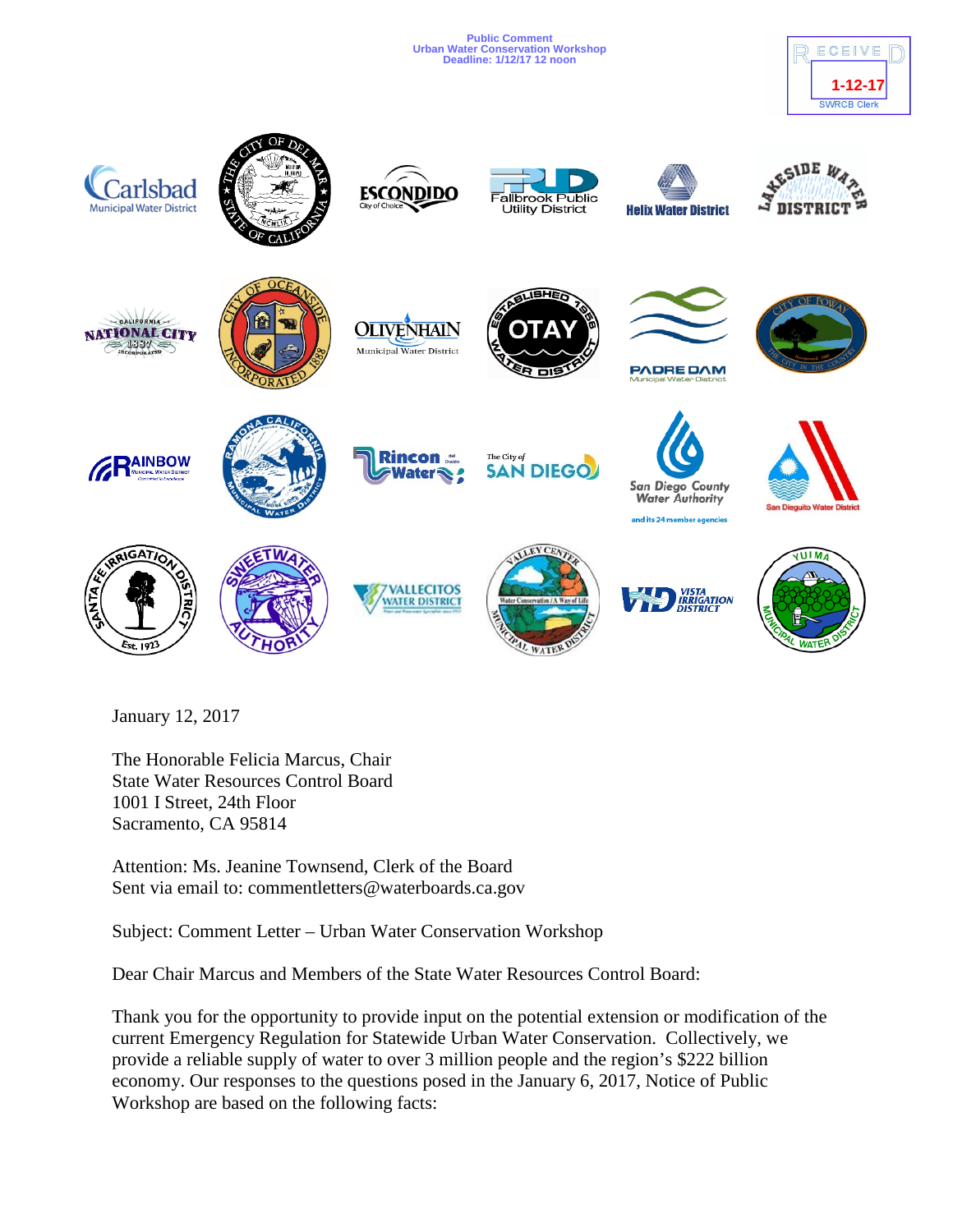**Public Comment Urban Water Conservation Workshop Deadline: 1/12/17 12 noon**





January 12, 2017

The Honorable Felicia Marcus, Chair State Water Resources Control Board 1001 I Street, 24th Floor Sacramento, CA 95814

Attention: Ms. Jeanine Townsend, Clerk of the Board Sent via email to: commentletters@waterboards.ca.gov

Subject: Comment Letter – Urban Water Conservation Workshop

Dear Chair Marcus and Members of the State Water Resources Control Board:

Thank you for the opportunity to provide input on the potential extension or modification of the current Emergency Regulation for Statewide Urban Water Conservation. Collectively, we provide a reliable supply of water to over 3 million people and the region's \$222 billion economy. Our responses to the questions posed in the January 6, 2017, Notice of Public Workshop are based on the following facts: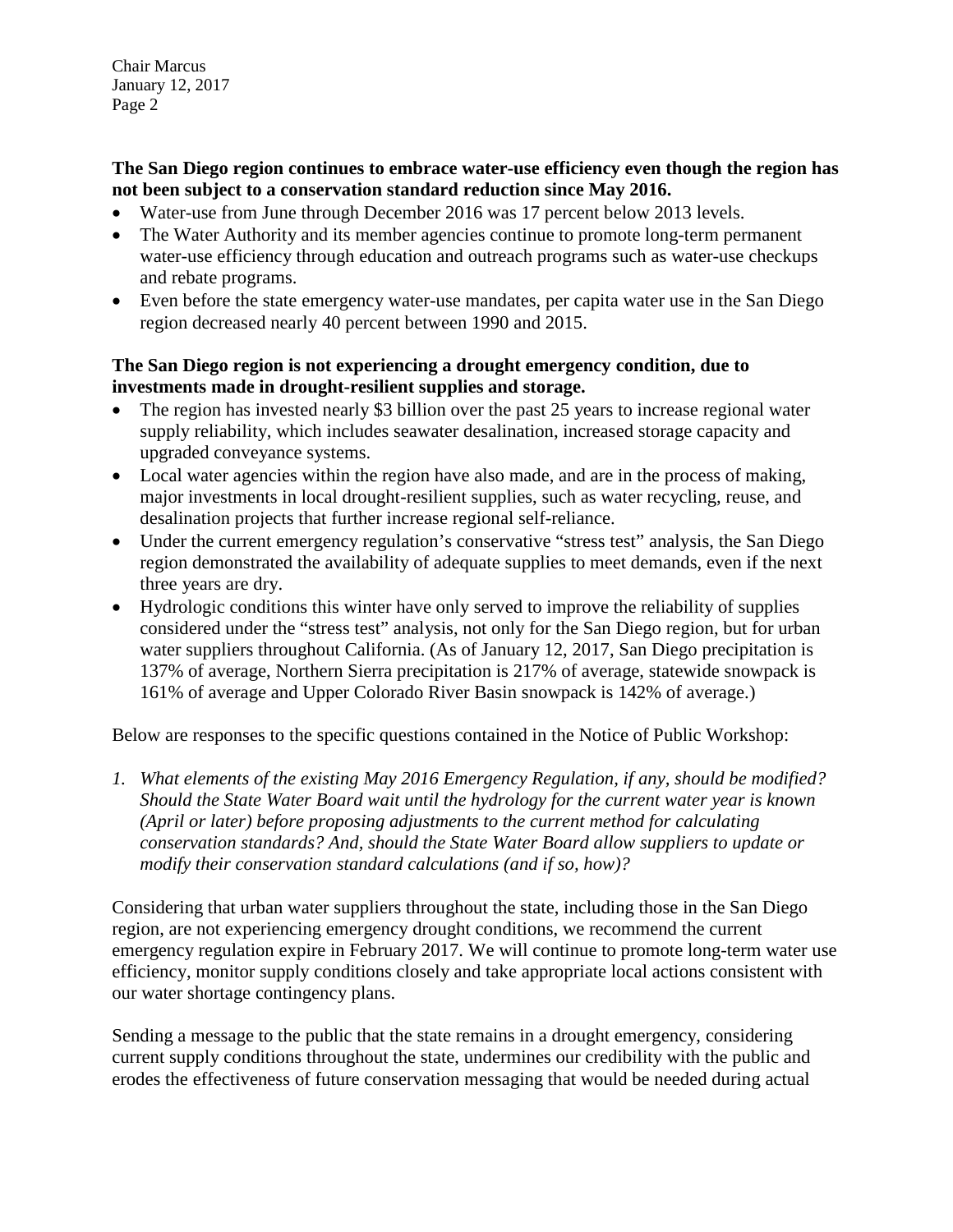Chair Marcus January 12, 2017 Page 2

**The San Diego region continues to embrace water-use efficiency even though the region has not been subject to a conservation standard reduction since May 2016.**

- Water-use from June through December 2016 was 17 percent below 2013 levels.
- The Water Authority and its member agencies continue to promote long-term permanent water-use efficiency through education and outreach programs such as water-use checkups and rebate programs.
- Even before the state emergency water-use mandates, per capita water use in the San Diego region decreased nearly 40 percent between 1990 and 2015.

## **The San Diego region is not experiencing a drought emergency condition, due to investments made in drought-resilient supplies and storage.**

- The region has invested nearly \$3 billion over the past 25 years to increase regional water supply reliability, which includes seawater desalination, increased storage capacity and upgraded conveyance systems.
- Local water agencies within the region have also made, and are in the process of making, major investments in local drought-resilient supplies, such as water recycling, reuse, and desalination projects that further increase regional self-reliance.
- Under the current emergency regulation's conservative "stress test" analysis, the San Diego region demonstrated the availability of adequate supplies to meet demands, even if the next three years are dry.
- Hydrologic conditions this winter have only served to improve the reliability of supplies considered under the "stress test" analysis, not only for the San Diego region, but for urban water suppliers throughout California. (As of January 12, 2017, San Diego precipitation is 137% of average, Northern Sierra precipitation is 217% of average, statewide snowpack is 161% of average and Upper Colorado River Basin snowpack is 142% of average.)

Below are responses to the specific questions contained in the Notice of Public Workshop:

*1. What elements of the existing May 2016 Emergency Regulation, if any, should be modified? Should the State Water Board wait until the hydrology for the current water year is known (April or later) before proposing adjustments to the current method for calculating conservation standards? And, should the State Water Board allow suppliers to update or modify their conservation standard calculations (and if so, how)?* 

Considering that urban water suppliers throughout the state, including those in the San Diego region, are not experiencing emergency drought conditions, we recommend the current emergency regulation expire in February 2017. We will continue to promote long-term water use efficiency, monitor supply conditions closely and take appropriate local actions consistent with our water shortage contingency plans.

Sending a message to the public that the state remains in a drought emergency, considering current supply conditions throughout the state, undermines our credibility with the public and erodes the effectiveness of future conservation messaging that would be needed during actual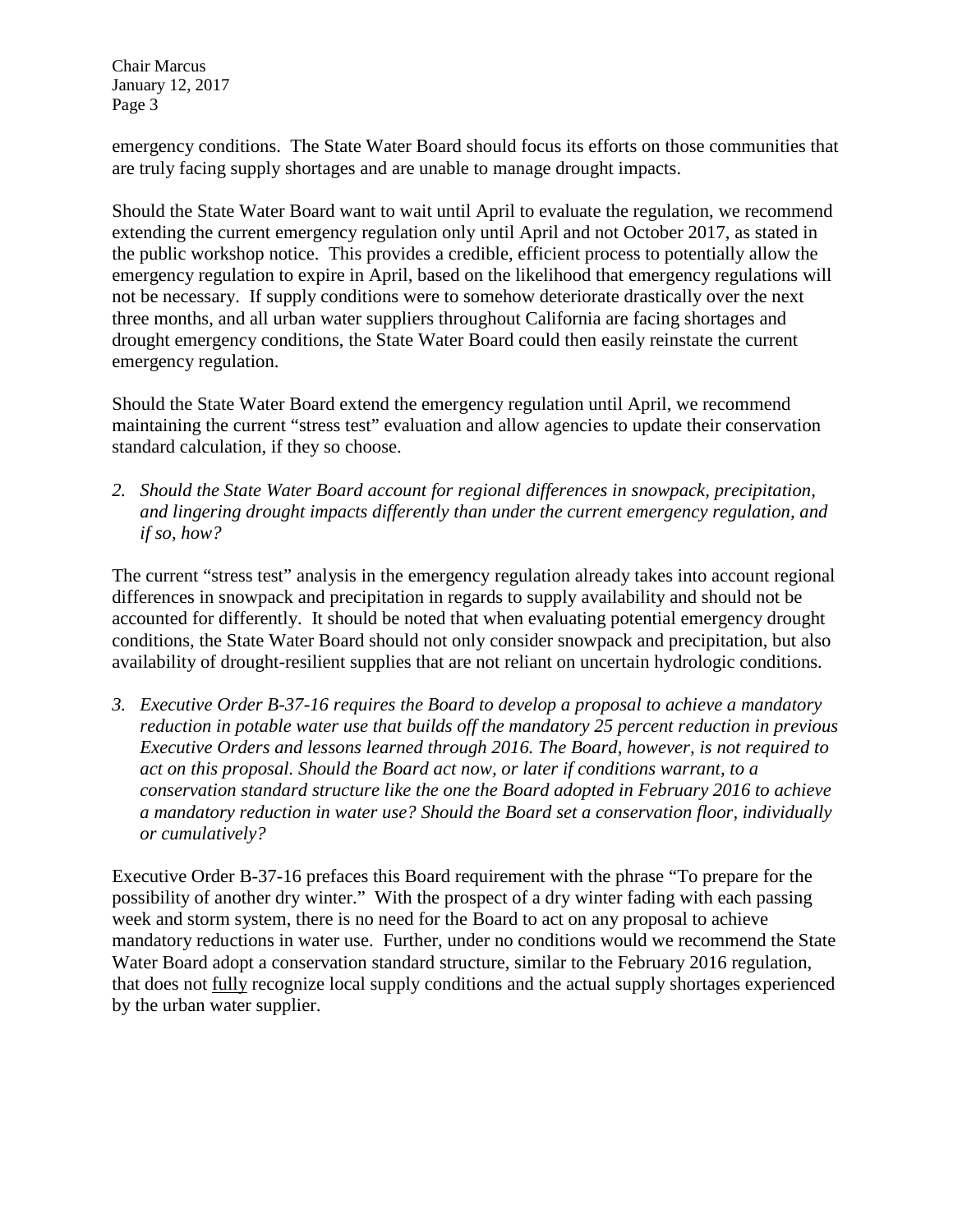Chair Marcus January 12, 2017 Page 3

emergency conditions. The State Water Board should focus its efforts on those communities that are truly facing supply shortages and are unable to manage drought impacts.

Should the State Water Board want to wait until April to evaluate the regulation, we recommend extending the current emergency regulation only until April and not October 2017, as stated in the public workshop notice. This provides a credible, efficient process to potentially allow the emergency regulation to expire in April, based on the likelihood that emergency regulations will not be necessary. If supply conditions were to somehow deteriorate drastically over the next three months, and all urban water suppliers throughout California are facing shortages and drought emergency conditions, the State Water Board could then easily reinstate the current emergency regulation.

Should the State Water Board extend the emergency regulation until April, we recommend maintaining the current "stress test" evaluation and allow agencies to update their conservation standard calculation, if they so choose.

*2. Should the State Water Board account for regional differences in snowpack, precipitation, and lingering drought impacts differently than under the current emergency regulation, and if so, how?* 

The current "stress test" analysis in the emergency regulation already takes into account regional differences in snowpack and precipitation in regards to supply availability and should not be accounted for differently. It should be noted that when evaluating potential emergency drought conditions, the State Water Board should not only consider snowpack and precipitation, but also availability of drought-resilient supplies that are not reliant on uncertain hydrologic conditions.

*3. Executive Order B-37-16 requires the Board to develop a proposal to achieve a mandatory reduction in potable water use that builds off the mandatory 25 percent reduction in previous Executive Orders and lessons learned through 2016. The Board, however, is not required to act on this proposal. Should the Board act now, or later if conditions warrant, to a conservation standard structure like the one the Board adopted in February 2016 to achieve a mandatory reduction in water use? Should the Board set a conservation floor, individually or cumulatively?* 

Executive Order B-37-16 prefaces this Board requirement with the phrase "To prepare for the possibility of another dry winter." With the prospect of a dry winter fading with each passing week and storm system, there is no need for the Board to act on any proposal to achieve mandatory reductions in water use. Further, under no conditions would we recommend the State Water Board adopt a conservation standard structure, similar to the February 2016 regulation, that does not fully recognize local supply conditions and the actual supply shortages experienced by the urban water supplier.